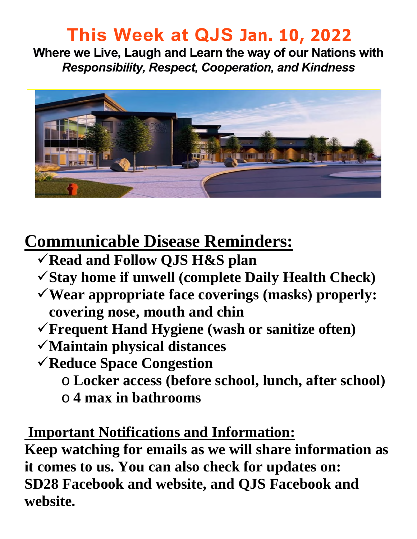# **This Week at QJS Jan. 10, 2022**

**Where we Live, Laugh and Learn the way of our Nations with**  *Responsibility, Respect, Cooperation, and Kindness* 



# **Communicable Disease Reminders:**

- **Read and Follow QJS H&S plan**
- **Stay home if unwell (complete Daily Health Check)**
- **Wear appropriate face coverings (masks) properly: covering nose, mouth and chin**
- **Frequent Hand Hygiene (wash or sanitize often)**
- **Maintain physical distances**
- **Reduce Space Congestion** 
	- o **Locker access (before school, lunch, after school)**
	- o **4 max in bathrooms**

### **Important Notifications and Information:**

**Keep watching for emails as we will share information as it comes to us. You can also check for updates on: SD28 Facebook and website, and QJS Facebook and website.**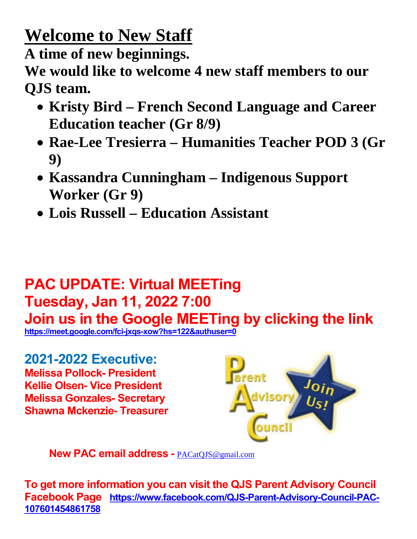# **Welcome to New Staff**

**A time of new beginnings.** 

**We would like to welcome 4 new staff members to our QJS team.** 

- **Kristy Bird French Second Language and Career Education teacher (Gr 8/9)**
- **Rae-Lee Tresierra Humanities Teacher POD 3 (Gr 9)**
- **Kassandra Cunningham Indigenous Support Worker (Gr 9)**
- **Lois Russell Education Assistant**

# **PAC UPDATE: Virtual MEETing Tuesday, Jan 11, 2022 7:00**

**Join us in the Google MEETing by clicking the link** 

**<https://meet.google.com/fci-jxqs-xow?hs=122&authuser=0>** 

**2021-2022 Executive: Melissa Pollock- President Kellie Olsen- Vice President Melissa Gonzales- Secretary Shawna Mckenzie- Treasurer** 



**New PAC email address -** [PACatQJS@gmail.com](mailto:PACatQJS@gmail.com) 

**To get more information you can visit the QJS Parent Advisory Council Facebook Page [https://www.facebook.com/QJS-Parent-Advisory-Council-PAC-](https://www.facebook.com/QJS-Parent-Advisory-Council-PAC-107601454861758)[107601454861758](https://www.facebook.com/QJS-Parent-Advisory-Council-PAC-107601454861758)**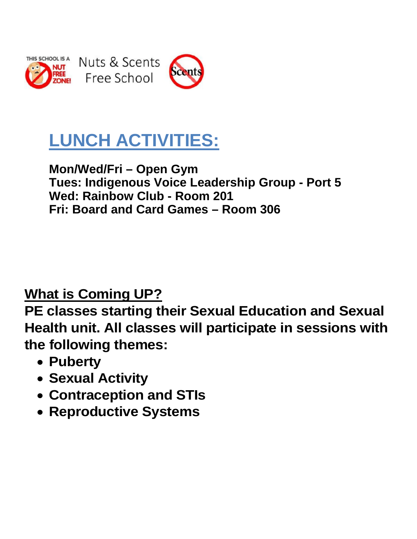

Nuts & Scents Free School



# **LUNCH ACTIVITIES:**

#### **Mon/Wed/Fri – Open Gym Tues: Indigenous Voice Leadership Group - Port 5 Wed: Rainbow Club - Room 201 Fri: Board and Card Games – Room 306**

### **What is Coming UP?**

**PE classes starting their Sexual Education and Sexual Health unit. All classes will participate in sessions with the following themes:** 

- **Puberty**
- **Sexual Activity**
- **Contraception and STIs**
- **Reproductive Systems**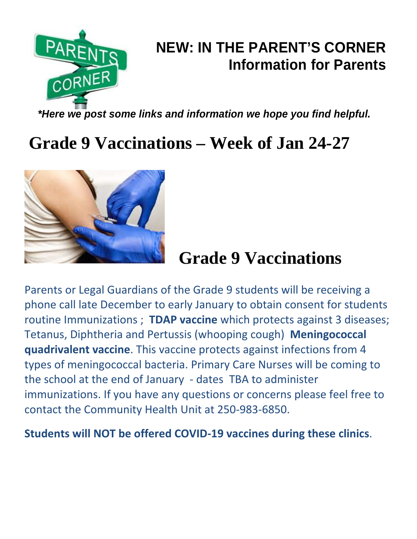

## **NEW: IN THE PARENT'S CORNER Information for Parents**

*\*Here we post some links and information we hope you find helpful.* 

# **Grade 9 Vaccinations – Week of Jan 24-27**



# **Grade 9 Vaccinations**

Parents or Legal Guardians of the Grade 9 students will be receiving a phone call late December to early January to obtain consent for students routine Immunizations ; **TDAP vaccine** which protects against 3 diseases; Tetanus, Diphtheria and Pertussis (whooping cough) **Meningococcal quadrivalent vaccine**. This vaccine protects against infections from 4 types of meningococcal bacteria. Primary Care Nurses will be coming to the school at the end of January - dates TBA to administer immunizations. If you have any questions or concerns please feel free to contact the Community Health Unit at 250-983-6850.

**Students will NOT be offered COVID-19 vaccines during these clinics**.